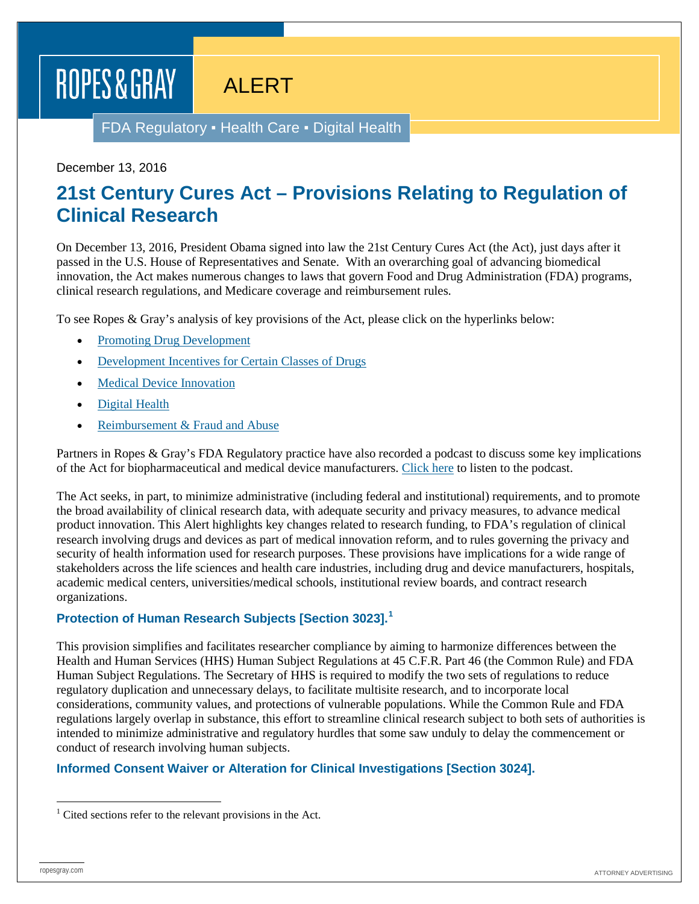# ROPES & GRAY

# ALERT

FDA Regulatory ▪ Health Care ▪ Digital Health

#### December 13, 2016

# **21st Century Cures Act – Provisions Relating to Regulation of Clinical Research**

On December 13, 2016, President Obama signed into law the 21st Century Cures Act (the Act), just days after it passed in the U.S. House of Representatives and Senate. With an overarching goal of advancing biomedical innovation, the Act makes numerous changes to laws that govern Food and Drug Administration (FDA) programs, clinical research regulations, and Medicare coverage and reimbursement rules.

To see Ropes & Gray's analysis of key provisions of the Act, please click on the hyperlinks below:

- [Promoting Drug Development](http://ropesgray.com/newsroom/alerts/2016/December/21st-Century-Cures-Act-Provisions-Relating-to-Promoting-Drug-Development.aspx)
- [Development Incentives for Certain Classes of Drugs](http://ropesgray.com/newsroom/alerts/2016/December/21st-Century-Cures-Act-Provisions-Relating-to-Development-Incentives-for-Certain-Classes-of-Drugs.aspx)
- **[Medical Device Innovation](http://ropesgray.com/newsroom/alerts/2016/December/21st-Century-Cures-Act-Provisions-Relating-to-Medical-Device-Innovation.aspx)**
- [Digital Health](http://ropesgray.com/newsroom/alerts/2016/December/21st-Century-Cures-Act-Provisions-Relating-to-Digital-Health.aspx)
- [Reimbursement & Fraud and Abuse](http://ropesgray.com/newsroom/alerts/2016/December/21st-Century-Cures-Act-Provisions-Relating-to-Reimbursement-Fraud-and-Abuse.aspx)

Partners in Ropes & Gray's FDA Regulatory practice have also recorded a podcast to discuss some key implications of the Act for biopharmaceutical and medical device manufacturers. [Click here](http://ropesgray.com/%7E/media/Podcasts/Life-Sciences/RG-21st-Century-Cures-Legislation.ashx) to listen to the podcast.

The Act seeks, in part, to minimize administrative (including federal and institutional) requirements, and to promote the broad availability of clinical research data, with adequate security and privacy measures, to advance medical product innovation. This Alert highlights key changes related to research funding, to FDA's regulation of clinical research involving drugs and devices as part of medical innovation reform, and to rules governing the privacy and security of health information used for research purposes. These provisions have implications for a wide range of stakeholders across the life sciences and health care industries, including drug and device manufacturers, hospitals, academic medical centers, universities/medical schools, institutional review boards, and contract research organizations.

#### **Protection of Human Research Subjects [Section 3023].[1](#page-0-0)**

This provision simplifies and facilitates researcher compliance by aiming to harmonize differences between the Health and Human Services (HHS) Human Subject Regulations at 45 C.F.R. Part 46 (the Common Rule) and FDA Human Subject Regulations. The Secretary of HHS is required to modify the two sets of regulations to reduce regulatory duplication and unnecessary delays, to facilitate multisite research, and to incorporate local considerations, community values, and protections of vulnerable populations. While the Common Rule and FDA regulations largely overlap in substance, this effort to streamline clinical research subject to both sets of authorities is intended to minimize administrative and regulatory hurdles that some saw unduly to delay the commencement or conduct of research involving human subjects.

#### **Informed Consent Waiver or Alteration for Clinical Investigations [Section 3024].**

<span id="page-0-0"></span> $1$  Cited sections refer to the relevant provisions in the Act.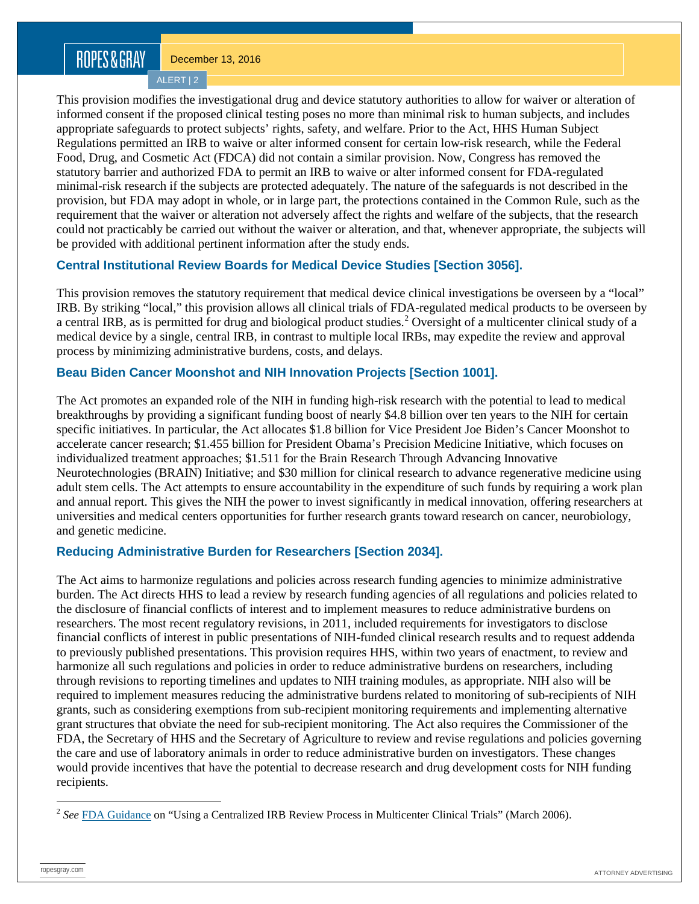# ROPES&GRAY

December 13, 2016

ALERT | 2

This provision modifies the investigational drug and device statutory authorities to allow for waiver or alteration of informed consent if the proposed clinical testing poses no more than minimal risk to human subjects, and includes appropriate safeguards to protect subjects' rights, safety, and welfare. Prior to the Act, HHS Human Subject Regulations permitted an IRB to waive or alter informed consent for certain low-risk research, while the Federal Food, Drug, and Cosmetic Act (FDCA) did not contain a similar provision. Now, Congress has removed the statutory barrier and authorized FDA to permit an IRB to waive or alter informed consent for FDA-regulated minimal-risk research if the subjects are protected adequately. The nature of the safeguards is not described in the provision, but FDA may adopt in whole, or in large part, the protections contained in the Common Rule, such as the requirement that the waiver or alteration not adversely affect the rights and welfare of the subjects, that the research could not practicably be carried out without the waiver or alteration, and that, whenever appropriate, the subjects will be provided with additional pertinent information after the study ends.

#### **Central Institutional Review Boards for Medical Device Studies [Section 3056].**

This provision removes the statutory requirement that medical device clinical investigations be overseen by a "local" IRB. By striking "local," this provision allows all clinical trials of FDA-regulated medical products to be overseen by a central IRB, as is permitted for drug and biological product studies.<sup>[2](#page-1-0)</sup> Oversight of a multicenter clinical study of a medical device by a single, central IRB, in contrast to multiple local IRBs, may expedite the review and approval process by minimizing administrative burdens, costs, and delays.

#### **Beau Biden Cancer Moonshot and NIH Innovation Projects [Section 1001].**

The Act promotes an expanded role of the NIH in funding high-risk research with the potential to lead to medical breakthroughs by providing a significant funding boost of nearly \$4.8 billion over ten years to the NIH for certain specific initiatives. In particular, the Act allocates \$1.8 billion for Vice President Joe Biden's Cancer Moonshot to accelerate cancer research; \$1.455 billion for President Obama's Precision Medicine Initiative, which focuses on individualized treatment approaches; \$1.511 for the Brain Research Through Advancing Innovative Neurotechnologies (BRAIN) Initiative; and \$30 million for clinical research to advance regenerative medicine using adult stem cells. The Act attempts to ensure accountability in the expenditure of such funds by requiring a work plan and annual report. This gives the NIH the power to invest significantly in medical innovation, offering researchers at universities and medical centers opportunities for further research grants toward research on cancer, neurobiology, and genetic medicine.

#### **Reducing Administrative Burden for Researchers [Section 2034].**

The Act aims to harmonize regulations and policies across research funding agencies to minimize administrative burden. The Act directs HHS to lead a review by research funding agencies of all regulations and policies related to the disclosure of financial conflicts of interest and to implement measures to reduce administrative burdens on researchers. The most recent regulatory revisions, in 2011, included requirements for investigators to disclose financial conflicts of interest in public presentations of NIH-funded clinical research results and to request addenda to previously published presentations. This provision requires HHS, within two years of enactment, to review and harmonize all such regulations and policies in order to reduce administrative burdens on researchers, including through revisions to reporting timelines and updates to NIH training modules, as appropriate. NIH also will be required to implement measures reducing the administrative burdens related to monitoring of sub-recipients of NIH grants, such as considering exemptions from sub-recipient monitoring requirements and implementing alternative grant structures that obviate the need for sub-recipient monitoring. The Act also requires the Commissioner of the FDA, the Secretary of HHS and the Secretary of Agriculture to review and revise regulations and policies governing the care and use of laboratory animals in order to reduce administrative burden on investigators. These changes would provide incentives that have the potential to decrease research and drug development costs for NIH funding recipients.

<span id="page-1-0"></span><sup>&</sup>lt;sup>2</sup> See **[FDA Guidance](http://www.fda.gov/downloads/RegulatoryInformation/Guidances/UCM127013.pdf)** on "Using a Centralized IRB Review Process in Multicenter Clinical Trials" (March 2006).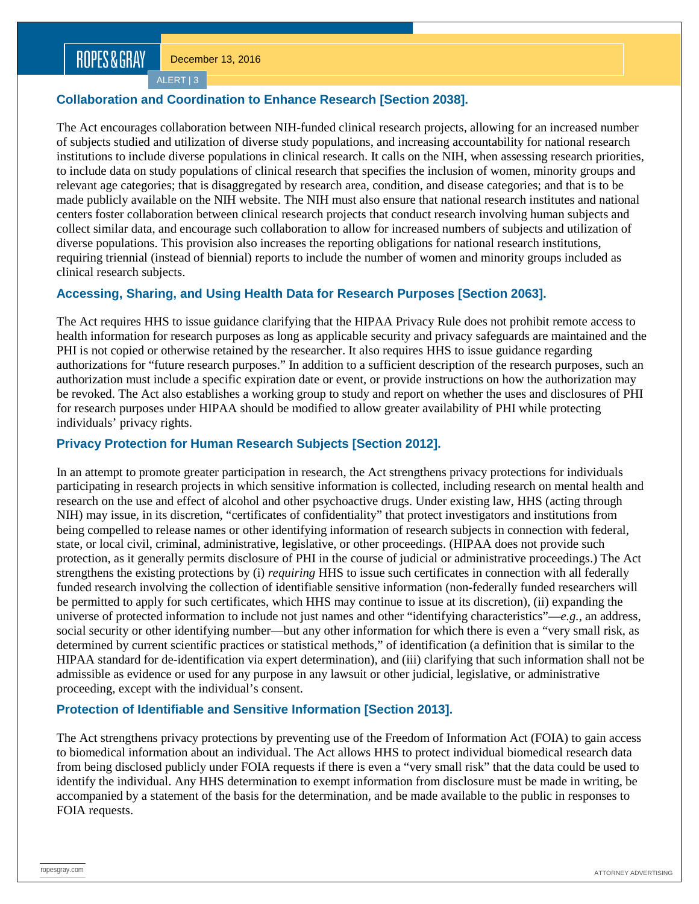ALERT | 3

### **Collaboration and Coordination to Enhance Research [Section 2038].**

The Act encourages collaboration between NIH-funded clinical research projects, allowing for an increased number of subjects studied and utilization of diverse study populations, and increasing accountability for national research institutions to include diverse populations in clinical research. It calls on the NIH, when assessing research priorities, to include data on study populations of clinical research that specifies the inclusion of women, minority groups and relevant age categories; that is disaggregated by research area, condition, and disease categories; and that is to be made publicly available on the NIH website. The NIH must also ensure that national research institutes and national centers foster collaboration between clinical research projects that conduct research involving human subjects and collect similar data, and encourage such collaboration to allow for increased numbers of subjects and utilization of diverse populations. This provision also increases the reporting obligations for national research institutions, requiring triennial (instead of biennial) reports to include the number of women and minority groups included as clinical research subjects.

## **Accessing, Sharing, and Using Health Data for Research Purposes [Section 2063].**

The Act requires HHS to issue guidance clarifying that the HIPAA Privacy Rule does not prohibit remote access to health information for research purposes as long as applicable security and privacy safeguards are maintained and the PHI is not copied or otherwise retained by the researcher. It also requires HHS to issue guidance regarding authorizations for "future research purposes." In addition to a sufficient description of the research purposes, such an authorization must include a specific expiration date or event, or provide instructions on how the authorization may be revoked. The Act also establishes a working group to study and report on whether the uses and disclosures of PHI for research purposes under HIPAA should be modified to allow greater availability of PHI while protecting individuals' privacy rights.

### **Privacy Protection for Human Research Subjects [Section 2012].**

In an attempt to promote greater participation in research, the Act strengthens privacy protections for individuals participating in research projects in which sensitive information is collected, including research on mental health and research on the use and effect of alcohol and other psychoactive drugs. Under existing law, HHS (acting through NIH) may issue, in its discretion, "certificates of confidentiality" that protect investigators and institutions from being compelled to release names or other identifying information of research subjects in connection with federal, state, or local civil, criminal, administrative, legislative, or other proceedings. (HIPAA does not provide such protection, as it generally permits disclosure of PHI in the course of judicial or administrative proceedings.) The Act strengthens the existing protections by (i) *requiring* HHS to issue such certificates in connection with all federally funded research involving the collection of identifiable sensitive information (non-federally funded researchers will be permitted to apply for such certificates, which HHS may continue to issue at its discretion), (ii) expanding the universe of protected information to include not just names and other "identifying characteristics"—*e.g.*, an address, social security or other identifying number—but any other information for which there is even a "very small risk, as determined by current scientific practices or statistical methods," of identification (a definition that is similar to the HIPAA standard for de-identification via expert determination), and (iii) clarifying that such information shall not be admissible as evidence or used for any purpose in any lawsuit or other judicial, legislative, or administrative proceeding, except with the individual's consent.

## **Protection of Identifiable and Sensitive Information [Section 2013].**

The Act strengthens privacy protections by preventing use of the Freedom of Information Act (FOIA) to gain access to biomedical information about an individual. The Act allows HHS to protect individual biomedical research data from being disclosed publicly under FOIA requests if there is even a "very small risk" that the data could be used to identify the individual. Any HHS determination to exempt information from disclosure must be made in writing, be accompanied by a statement of the basis for the determination, and be made available to the public in responses to FOIA requests.